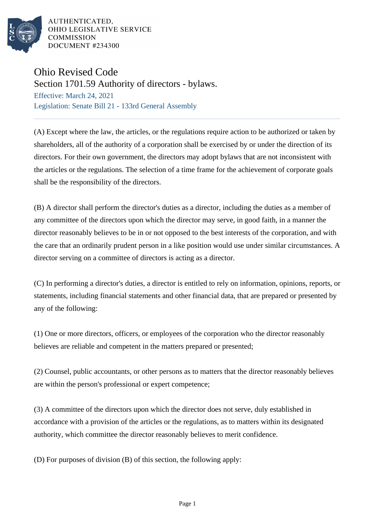

AUTHENTICATED. OHIO LEGISLATIVE SERVICE **COMMISSION** DOCUMENT #234300

## Ohio Revised Code

Section 1701.59 Authority of directors - bylaws.

Effective: March 24, 2021 Legislation: Senate Bill 21 - 133rd General Assembly

(A) Except where the law, the articles, or the regulations require action to be authorized or taken by shareholders, all of the authority of a corporation shall be exercised by or under the direction of its directors. For their own government, the directors may adopt bylaws that are not inconsistent with the articles or the regulations. The selection of a time frame for the achievement of corporate goals shall be the responsibility of the directors.

(B) A director shall perform the director's duties as a director, including the duties as a member of any committee of the directors upon which the director may serve, in good faith, in a manner the director reasonably believes to be in or not opposed to the best interests of the corporation, and with the care that an ordinarily prudent person in a like position would use under similar circumstances. A director serving on a committee of directors is acting as a director.

(C) In performing a director's duties, a director is entitled to rely on information, opinions, reports, or statements, including financial statements and other financial data, that are prepared or presented by any of the following:

(1) One or more directors, officers, or employees of the corporation who the director reasonably believes are reliable and competent in the matters prepared or presented;

(2) Counsel, public accountants, or other persons as to matters that the director reasonably believes are within the person's professional or expert competence;

(3) A committee of the directors upon which the director does not serve, duly established in accordance with a provision of the articles or the regulations, as to matters within its designated authority, which committee the director reasonably believes to merit confidence.

(D) For purposes of division (B) of this section, the following apply: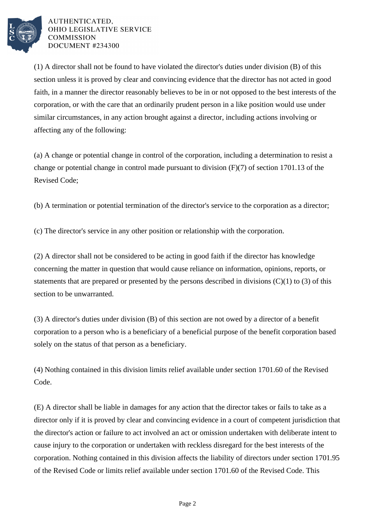

AUTHENTICATED. OHIO LEGISLATIVE SERVICE **COMMISSION** DOCUMENT #234300

(1) A director shall not be found to have violated the director's duties under division (B) of this section unless it is proved by clear and convincing evidence that the director has not acted in good faith, in a manner the director reasonably believes to be in or not opposed to the best interests of the corporation, or with the care that an ordinarily prudent person in a like position would use under similar circumstances, in any action brought against a director, including actions involving or affecting any of the following:

(a) A change or potential change in control of the corporation, including a determination to resist a change or potential change in control made pursuant to division (F)(7) of section 1701.13 of the Revised Code;

(b) A termination or potential termination of the director's service to the corporation as a director;

(c) The director's service in any other position or relationship with the corporation.

(2) A director shall not be considered to be acting in good faith if the director has knowledge concerning the matter in question that would cause reliance on information, opinions, reports, or statements that are prepared or presented by the persons described in divisions  $(C)(1)$  to  $(3)$  of this section to be unwarranted.

(3) A director's duties under division (B) of this section are not owed by a director of a benefit corporation to a person who is a beneficiary of a beneficial purpose of the benefit corporation based solely on the status of that person as a beneficiary.

(4) Nothing contained in this division limits relief available under section 1701.60 of the Revised Code.

(E) A director shall be liable in damages for any action that the director takes or fails to take as a director only if it is proved by clear and convincing evidence in a court of competent jurisdiction that the director's action or failure to act involved an act or omission undertaken with deliberate intent to cause injury to the corporation or undertaken with reckless disregard for the best interests of the corporation. Nothing contained in this division affects the liability of directors under section 1701.95 of the Revised Code or limits relief available under section 1701.60 of the Revised Code. This